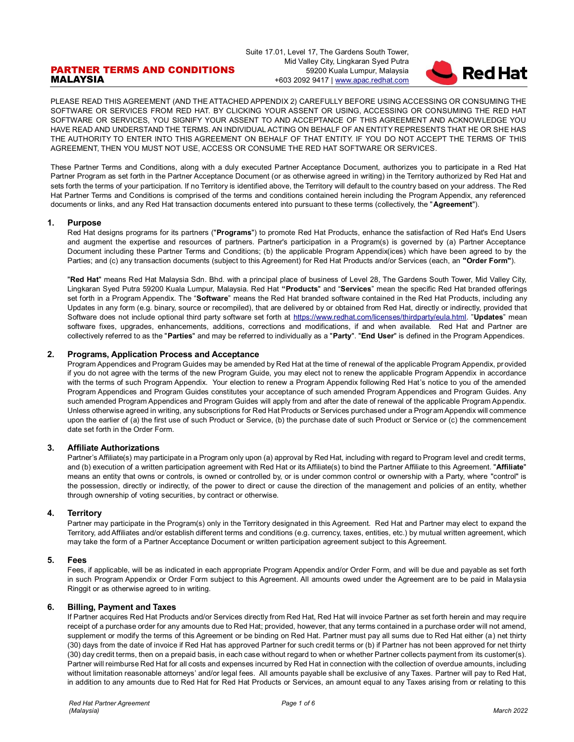# PARTNER TERMS AND CONDITIONS MALAYSIA

Suite 17.01, Level 17, The Gardens South Tower, Mid Valley City, Lingkaran Syed Putra 59200 Kuala Lumpur, Malaysia +603 2092 9417 [| www.apac.redhat.com](http://www.redhat.com/)



PLEASE READ THIS AGREEMENT (AND THE ATTACHED APPENDIX 2) CAREFULLY BEFORE USING ACCESSING OR CONSUMING THE SOFTWARE OR SERVICES FROM RED HAT. BY CLICKING YOUR ASSENT OR USING, ACCESSING OR CONSUMING THE RED HAT SOFTWARE OR SERVICES, YOU SIGNIFY YOUR ASSENT TO AND ACCEPTANCE OF THIS AGREEMENT AND ACKNOWLEDGE YOU HAVE READ AND UNDERSTAND THE TERMS. AN INDIVIDUAL ACTING ON BEHALF OF AN ENTITY REPRESENTS THAT HE OR SHE HAS THE AUTHORITY TO ENTER INTO THIS AGREEMENT ON BEHALF OF THAT ENTITY. IF YOU DO NOT ACCEPT THE TERMS OF THIS AGREEMENT, THEN YOU MUST NOT USE, ACCESS OR CONSUME THE RED HAT SOFTWARE OR SERVICES.

These Partner Terms and Conditions, along with a duly executed Partner Acceptance Document, authorizes you to participate in a Red Hat Partner Program as set forth in the Partner Acceptance Document (or as otherwise agreed in writing) in the Territory authorized by Red Hat and sets forth the terms of your participation. If no Territory is identified above, the Territory will default to the country based on your address. The Red Hat Partner Terms and Conditions is comprised of the terms and conditions contained herein including the Program Appendix, any referenced documents or links, and any Red Hat transaction documents entered into pursuant to these terms (collectively, the "**Agreement**").

# **1. Purpose**

Red Hat designs programs for its partners ("**Programs**") to promote Red Hat Products, enhance the satisfaction of Red Hat's End Users and augment the expertise and resources of partners. Partner's participation in a Program(s) is governed by (a) Partner Acceptance Document including these Partner Terms and Conditions; (b) the applicable Program Appendix(ices) which have been agreed to by the Parties; and (c) any transaction documents (subject to this Agreement) for Red Hat Products and/or Services (each, an **"Order Form"**).

"**Red Hat**" means Red Hat Malaysia Sdn. Bhd. with a principal place of business of Level 28, The Gardens South Tower, Mid Valley City, Lingkaran Syed Putra 59200 Kuala Lumpur, Malaysia. Red Hat **"Products**" and "**Services**" mean the specific Red Hat branded offerings set forth in a Program Appendix. The "**Software**" means the Red Hat branded software contained in the Red Hat Products, including any Updates in any form (e.g. binary, source or recompiled), that are delivered by or obtained from Red Hat, directly or indirectly, provided that Software does not include optional third party software set forth at [https://www.redhat.com/licenses/thirdparty/eula.html.](https://www.redhat.com/licenses/thirdparty/eula.html) "**Updates**" mean software fixes, upgrades, enhancements, additions, corrections and modifications, if and when available. Red Hat and Partner are collectively referred to as the "**Parties**" and may be referred to individually as a "**Party**". "**End User**" is defined in the Program Appendices.

# **2. Programs, Application Process and Acceptance**

Program Appendices and Program Guides may be amended by Red Hat at the time of renewal of the applicable Program Appendix, provided if you do not agree with the terms of the new Program Guide, you may elect not to renew the applicable Program Appendix in accordance with the terms of such Program Appendix. Your election to renew a Program Appendix following Red Hat's notice to you of the amended Program Appendices and Program Guides constitutes your acceptance of such amended Program Appendices and Program Guides. Any such amended Program Appendices and Program Guides will apply from and after the date of renewal of the applicable Program Appendix. Unless otherwise agreed in writing, any subscriptions for Red Hat Products or Services purchased under a Program Appendix will commence upon the earlier of (a) the first use of such Product or Service, (b) the purchase date of such Product or Service or (c) the commencement date set forth in the Order Form.

# **3. Affiliate Authorizations**

Partner's Affiliate(s) may participate in a Program only upon (a) approval by Red Hat, including with regard to Program level and credit terms, and (b) execution of a written participation agreement with Red Hat or its Affiliate(s) to bind the Partner Affiliate to this Agreement. "**Affiliate**" means an entity that owns or controls, is owned or controlled by, or is under common control or ownership with a Party, where "control" is the possession, directly or indirectly, of the power to direct or cause the direction of the management and policies of an entity, whether through ownership of voting securities, by contract or otherwise.

# **4. Territory**

Partner may participate in the Program(s) only in the Territory designated in this Agreement. Red Hat and Partner may elect to expand the Territory, add Affiliates and/or establish different terms and conditions (e.g. currency, taxes, entities, etc.) by mutual written agreement, which may take the form of a Partner Acceptance Document or written participation agreement subject to this Agreement.

# **5. Fees**

Fees, if applicable, will be as indicated in each appropriate Program Appendix and/or Order Form, and will be due and payable as set forth in such Program Appendix or Order Form subject to this Agreement. All amounts owed under the Agreement are to be paid in Malaysia Ringgit or as otherwise agreed to in writing.

# **6. Billing, Payment and Taxes**

If Partner acquires Red Hat Products and/or Services directly from Red Hat, Red Hat will invoice Partner as set forth herein and may require receipt of a purchase order for any amounts due to Red Hat; provided, however, that any terms contained in a purchase order will not amend, supplement or modify the terms of this Agreement or be binding on Red Hat. Partner must pay all sums due to Red Hat either (a) net thirty (30) days from the date of invoice if Red Hat has approved Partner for such credit terms or (b) if Partner has not been approved for net thirty (30) day credit terms, then on a prepaid basis, in each case without regard to when or whether Partner collects payment from its customer(s). Partner will reimburse Red Hat for all costs and expenses incurred by Red Hat in connection with the collection of overdue amounts, including without limitation reasonable attorneys' and/or legal fees. All amounts payable shall be exclusive of any Taxes. Partner will pay to Red Hat, in addition to any amounts due to Red Hat for Red Hat Products or Services, an amount equal to any Taxes arising from or relating to this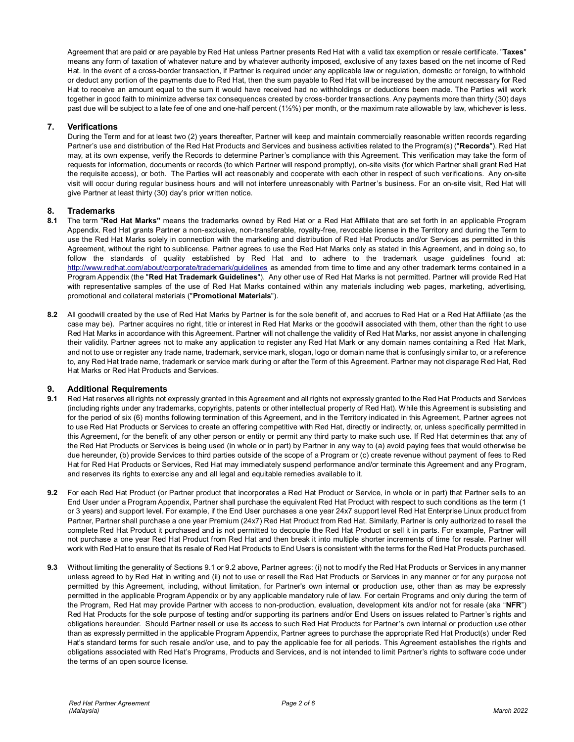Agreement that are paid or are payable by Red Hat unless Partner presents Red Hat with a valid tax exemption or resale certificate. "**Taxes**" means any form of taxation of whatever nature and by whatever authority imposed, exclusive of any taxes based on the net income of Red Hat. In the event of a cross-border transaction, if Partner is required under any applicable law or regulation, domestic or foreign, to withhold or deduct any portion of the payments due to Red Hat, then the sum payable to Red Hat will be increased by the amount necessary for Red Hat to receive an amount equal to the sum it would have received had no withholdings or deductions been made. The Parties will work together in good faith to minimize adverse tax consequences created by cross-border transactions. Any payments more than thirty (30) days past due will be subject to a late fee of one and one-half percent (1½%) per month, or the maximum rate allowable by law, whichever is less.

# **7. Verifications**

During the Term and for at least two (2) years thereafter, Partner will keep and maintain commercially reasonable written records regarding Partner's use and distribution of the Red Hat Products and Services and business activities related to the Program(s) ("**Records**"). Red Hat may, at its own expense, verify the Records to determine Partner's compliance with this Agreement. This verification may take the form of requests for information, documents or records (to which Partner will respond promptly), on-site visits (for which Partner shall grant Red Hat the requisite access), or both. The Parties will act reasonably and cooperate with each other in respect of such verifications. Any on-site visit will occur during regular business hours and will not interfere unreasonably with Partner's business. For an on-site visit, Red Hat will give Partner at least thirty (30) day's prior written notice.

# **8. Trademarks**

- **8.1** The term "**Red Hat Marks"** means the trademarks owned by Red Hat or a Red Hat Affiliate that are set forth in an applicable Program Appendix. Red Hat grants Partner a non-exclusive, non-transferable, royalty-free, revocable license in the Territory and during the Term to use the Red Hat Marks solely in connection with the marketing and distribution of Red Hat Products and/or Services as permitted in this Agreement, without the right to sublicense. Partner agrees to use the Red Hat Marks only as stated in this Agreement, and in doing so, to follow the standards of quality established by Red Hat and to adhere to the trademark usage guidelines found at: <http://www.redhat.com/about/corporate/trademark/guidelines> as amended from time to time and any other trademark terms contained in a Program Appendix (the "**Red Hat Trademark Guidelines**"). Any other use of Red Hat Marks is not permitted. Partner will provide Red Hat with representative samples of the use of Red Hat Marks contained within any materials including web pages, marketing, advertising, promotional and collateral materials ("**Promotional Materials**").
- **8.2** All goodwill created by the use of Red Hat Marks by Partner is for the sole benefit of, and accrues to Red Hat or a Red Hat Affiliate (as the case may be). Partner acquires no right, title or interest in Red Hat Marks or the goodwill associated with them, other than the right to use Red Hat Marks in accordance with this Agreement. Partner will not challenge the validity of Red Hat Marks, nor assist anyone in challenging their validity. Partner agrees not to make any application to register any Red Hat Mark or any domain names containing a Red Hat Mark, and not to use or register any trade name, trademark, service mark, slogan, logo or domain name that is confusingly similar to, or a reference to, any Red Hat trade name, trademark or service mark during or after the Term of this Agreement. Partner may not disparage Red Hat, Red Hat Marks or Red Hat Products and Services.

# **9. Additional Requirements**

- **9.1** Red Hat reserves all rights not expressly granted in this Agreement and all rights not expressly granted to the Red Hat Products and Services (including rights under any trademarks, copyrights, patents or other intellectual property of Red Hat). While this Agreement is subsisting and for the period of six (6) months following termination of this Agreement, and in the Territory indicated in this Agreement, Partner agrees not to use Red Hat Products or Services to create an offering competitive with Red Hat, directly or indirectly, or, unless specifically permitted in this Agreement, for the benefit of any other person or entity or permit any third party to make such use. If Red Hat determines that any of the Red Hat Products or Services is being used (in whole or in part) by Partner in any way to (a) avoid paying fees that would otherwise be due hereunder, (b) provide Services to third parties outside of the scope of a Program or (c) create revenue without payment of fees to Red Hat for Red Hat Products or Services, Red Hat may immediately suspend performance and/or terminate this Agreement and any Program, and reserves its rights to exercise any and all legal and equitable remedies available to it.
- **9.2** For each Red Hat Product (or Partner product that incorporates a Red Hat Product or Service, in whole or in part) that Partner sells to an End User under a Program Appendix, Partner shall purchase the equivalent Red Hat Product with respect to such conditions as the term (1 or 3 years) and support level. For example, if the End User purchases a one year 24x7 support level Red Hat Enterprise Linux product from Partner, Partner shall purchase a one year Premium (24x7) Red Hat Product from Red Hat. Similarly, Partner is only authorized to resell the complete Red Hat Product it purchased and is not permitted to decouple the Red Hat Product or sell it in parts. For example, Partner will not purchase a one year Red Hat Product from Red Hat and then break it into multiple shorter increments of time for resale. Partner will work with Red Hat to ensure that its resale of Red Hat Products to End Users is consistent with the terms for the Red Hat Products purchased.
- **9.3** Without limiting the generality of Sections 9.1 or 9.2 above, Partner agrees: (i) not to modify the Red Hat Products or Services in any manner unless agreed to by Red Hat in writing and (ii) not to use or resell the Red Hat Products or Services in any manner or for any purpose not permitted by this Agreement, including, without limitation, for Partner's own internal or production use, other than as may be expressly permitted in the applicable Program Appendix or by any applicable mandatory rule of law. For certain Programs and only during the term of the Program, Red Hat may provide Partner with access to non-production, evaluation, development kits and/or not for resale (aka "**NFR**") Red Hat Products for the sole purpose of testing and/or supporting its partners and/or End Users on issues related to Partner's rights and obligations hereunder. Should Partner resell or use its access to such Red Hat Products for Partner's own internal or production use other than as expressly permitted in the applicable Program Appendix, Partner agrees to purchase the appropriate Red Hat Product(s) under Red Hat's standard terms for such resale and/or use, and to pay the applicable fee for all periods. This Agreement establishes the rights and obligations associated with Red Hat's Programs, Products and Services, and is not intended to limit Partner's rights to software code under the terms of an open source license.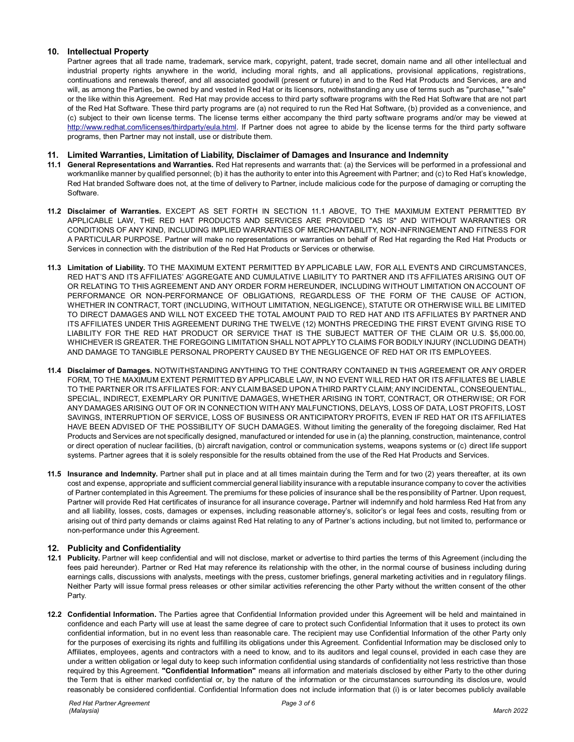# **10. Intellectual Property**

Partner agrees that all trade name, trademark, service mark, copyright, patent, trade secret, domain name and all other intellectual and industrial property rights anywhere in the world, including moral rights, and all applications, provisional applications, registrations, continuations and renewals thereof, and all associated goodwill (present or future) in and to the Red Hat Products and Services, are and will, as among the Parties, be owned by and vested in Red Hat or its licensors, notwithstanding any use of terms such as "purchase," "sale" or the like within this Agreement. Red Hat may provide access to third party software programs with the Red Hat Software that are not part of the Red Hat Software. These third party programs are (a) not required to run the Red Hat Software, (b) provided as a convenience, and (c) subject to their own license terms. The license terms either accompany the third party software programs and/or may be viewed at [http://www.redhat.com/licenses/thirdparty/eula.html.](http://www.redhat.com/licenses/thirdparty/eula.html) If Partner does not agree to abide by the license terms for the third party software programs, then Partner may not install, use or distribute them.

# **11. Limited Warranties, Limitation of Liability, Disclaimer of Damages and Insurance and Indemnity**

- **11.1 General Representations and Warranties.** Red Hat represents and warrants that: (a) the Services will be performed in a professional and workmanlike manner by qualified personnel; (b) it has the authority to enter into this Agreement with Partner; and (c) to Red Hat's knowledge, Red Hat branded Software does not, at the time of delivery to Partner, include malicious code for the purpose of damaging or corrupting the Software.
- **11.2 Disclaimer of Warranties.** EXCEPT AS SET FORTH IN SECTION 11.1 ABOVE, TO THE MAXIMUM EXTENT PERMITTED BY APPLICABLE LAW, THE RED HAT PRODUCTS AND SERVICES ARE PROVIDED "AS IS" AND WITHOUT WARRANTIES OR CONDITIONS OF ANY KIND, INCLUDING IMPLIED WARRANTIES OF MERCHANTABILITY, NON-INFRINGEMENT AND FITNESS FOR A PARTICULAR PURPOSE. Partner will make no representations or warranties on behalf of Red Hat regarding the Red Hat Products or Services in connection with the distribution of the Red Hat Products or Services or otherwise.
- **11.3 Limitation of Liability.** TO THE MAXIMUM EXTENT PERMITTED BY APPLICABLE LAW, FOR ALL EVENTS AND CIRCUMSTANCES, RED HAT'S AND ITS AFFILIATES' AGGREGATE AND CUMULATIVE LIABILITY TO PARTNER AND ITS AFFILIATES ARISING OUT OF OR RELATING TO THIS AGREEMENT AND ANY ORDER FORM HEREUNDER, INCLUDING WITHOUT LIMITATION ON ACCOUNT OF PERFORMANCE OR NON-PERFORMANCE OF OBLIGATIONS, REGARDLESS OF THE FORM OF THE CAUSE OF ACTION, WHETHER IN CONTRACT, TORT (INCLUDING, WITHOUT LIMITATION, NEGLIGENCE), STATUTE OR OTHERWISE WILL BE LIMITED TO DIRECT DAMAGES AND WILL NOT EXCEED THE TOTAL AMOUNT PAID TO RED HAT AND ITS AFFILIATES BY PARTNER AND ITS AFFILIATES UNDER THIS AGREEMENT DURING THE TWELVE (12) MONTHS PRECEDING THE FIRST EVENT GIVING RISE TO LIABILITY FOR THE RED HAT PRODUCT OR SERVICE THAT IS THE SUBJECT MATTER OF THE CLAIM OR U.S. \$5,000.00, WHICHEVER IS GREATER. THE FOREGOING LIMITATION SHALL NOT APPLY TO CLAIMS FOR BODILY INJURY (INCLUDING DEATH) AND DAMAGE TO TANGIBLE PERSONAL PROPERTY CAUSED BY THE NEGLIGENCE OF RED HAT OR ITS EMPLOYEES.
- **11.4 Disclaimer of Damages.** NOTWITHSTANDING ANYTHING TO THE CONTRARY CONTAINED IN THIS AGREEMENT OR ANY ORDER FORM, TO THE MAXIMUM EXTENT PERMITTED BY APPLICABLE LAW, IN NO EVENT WILL RED HAT OR ITS AFFILIATES BE LIABLE TO THE PARTNER OR ITS AFFILIATES FOR: ANY CLAIM BASED UPON A THIRD PARTY CLAIM; ANY INCIDENTAL, CONSEQUENTIAL, SPECIAL, INDIRECT, EXEMPLARY OR PUNITIVE DAMAGES, WHETHER ARISING IN TORT, CONTRACT, OR OTHERWISE; OR FOR ANY DAMAGES ARISING OUT OF OR IN CONNECTION WITH ANY MALFUNCTIONS, DELAYS, LOSS OF DATA, LOST PROFITS, LOST SAVINGS, INTERRUPTION OF SERVICE, LOSS OF BUSINESS OR ANTICIPATORY PROFITS, EVEN IF RED HAT OR ITS AFFILIATES HAVE BEEN ADVISED OF THE POSSIBILITY OF SUCH DAMAGES. Without limiting the generality of the foregoing disclaimer, Red Hat Products and Services are not specifically designed, manufactured or intended for use in (a) the planning, construction, maintenance, control or direct operation of nuclear facilities, (b) aircraft navigation, control or communication systems, weapons systems or (c) direct life support systems. Partner agrees that it is solely responsible for the results obtained from the use of the Red Hat Products and Services.
- **11.5 Insurance and Indemnity.** Partner shall put in place and at all times maintain during the Term and for two (2) years thereafter, at its own cost and expense, appropriate and sufficient commercial general liability insurance with a reputable insurance company to cover the activities of Partner contemplated in this Agreement. The premiums for these policies of insurance shall be the responsibility of Partner. Upon request, Partner will provide Red Hat certificates of insurance for all insurance coverage**.** Partner will indemnify and hold harmless Red Hat from any and all liability, losses, costs, damages or expenses, including reasonable attorney's, solicitor's or legal fees and costs, resulting from or arising out of third party demands or claims against Red Hat relating to any of Partner's actions including, but not limited to, performance or non-performance under this Agreement.

# **12. Publicity and Confidentiality**

- **12.1 Publicity.** Partner will keep confidential and will not disclose, market or advertise to third parties the terms of this Agreement (including the fees paid hereunder). Partner or Red Hat may reference its relationship with the other, in the normal course of business including during earnings calls, discussions with analysts, meetings with the press, customer briefings, general marketing activities and in regulatory filings. Neither Party will issue formal press releases or other similar activities referencing the other Party without the written consent of the other Party.
- **12.2 Confidential Information.** The Parties agree that Confidential Information provided under this Agreement will be held and maintained in confidence and each Party will use at least the same degree of care to protect such Confidential Information that it uses to protect its own confidential information, but in no event less than reasonable care. The recipient may use Confidential Information of the other Party only for the purposes of exercising its rights and fulfilling its obligations under this Agreement. Confidential Information may be disclosed only to Affiliates, employees, agents and contractors with a need to know, and to its auditors and legal counsel, provided in each case they are under a written obligation or legal duty to keep such information confidential using standards of confidentiality not less restrictive than those required by this Agreement. **"Confidential Information"** means all information and materials disclosed by either Party to the other during the Term that is either marked confidential or, by the nature of the information or the circumstances surrounding its disclos ure, would reasonably be considered confidential. Confidential Information does not include information that (i) is or later becomes publicly available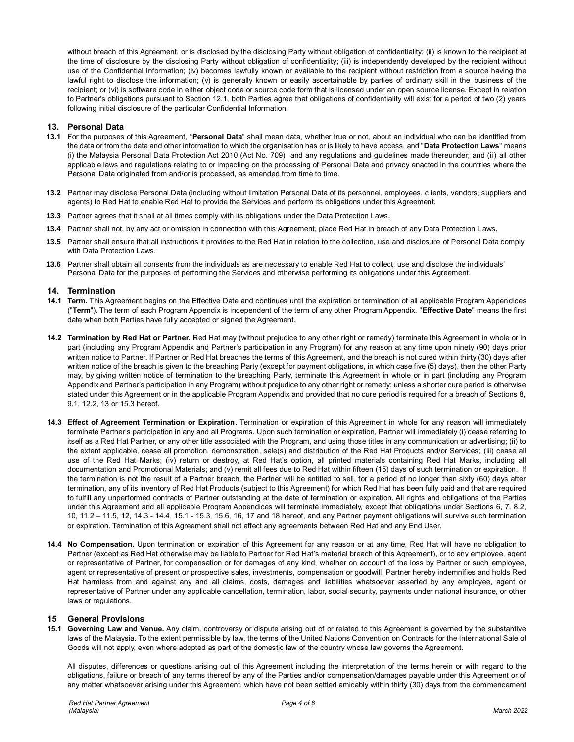without breach of this Agreement, or is disclosed by the disclosing Party without obligation of confidentiality; (ii) is known to the recipient at the time of disclosure by the disclosing Party without obligation of confidentiality; (iii) is independently developed by the recipient without use of the Confidential Information; (iv) becomes lawfully known or available to the recipient without restriction from a source having the lawful right to disclose the information; (v) is generally known or easily ascertainable by parties of ordinary skill in the business of the recipient; or (vi) is software code in either object code or source code form that is licensed under an open source license. Except in relation to Partner's obligations pursuant to Section 12.1, both Parties agree that obligations of confidentiality will exist for a period of two (2) years following initial disclosure of the particular Confidential Information.

# **13. Personal Data**

- **13.1** For the purposes of this Agreement, "**Personal Data**" shall mean data, whether true or not, about an individual who can be identified from the data or from the data and other information to which the organisation has or is likely to have access, and "**Data Protection Laws**" means (i) the Malaysia Personal Data Protection Act 2010 (Act No. 709) and any regulations and guidelines made thereunder; and (ii) all other applicable laws and regulations relating to or impacting on the processing of Personal Data and privacy enacted in the countries where the Personal Data originated from and/or is processed, as amended from time to time.
- **13.2** Partner may disclose Personal Data (including without limitation Personal Data of its personnel, employees, clients, vendors, suppliers and agents) to Red Hat to enable Red Hat to provide the Services and perform its obligations under this Agreement.
- **13.3** Partner agrees that it shall at all times comply with its obligations under the Data Protection Laws.
- **13.4** Partner shall not, by any act or omission in connection with this Agreement, place Red Hat in breach of any Data Protection Laws.
- **13.5** Partner shall ensure that all instructions it provides to the Red Hat in relation to the collection, use and disclosure of Personal Data comply with Data Protection Laws.
- **13.6** Partner shall obtain all consents from the individuals as are necessary to enable Red Hat to collect, use and disclose the individuals' Personal Data for the purposes of performing the Services and otherwise performing its obligations under this Agreement.

# **14. Termination**

- **14.1 Term.** This Agreement begins on the Effective Date and continues until the expiration or termination of all applicable Program Appendices ("**Term**"). The term of each Program Appendix is independent of the term of any other Program Appendix. "**Effective Date**" means the first date when both Parties have fully accepted or signed the Agreement.
- **14.2 Termination by Red Hat or Partner.** Red Hat may (without prejudice to any other right or remedy) terminate this Agreement in whole or in part (including any Program Appendix and Partner's participation in any Program) for any reason at any time upon ninety (90) days prior written notice to Partner. If Partner or Red Hat breaches the terms of this Agreement, and the breach is not cured within thirty (30) days after written notice of the breach is given to the breaching Party (except for payment obligations, in which case five (5) days), then the other Party may, by giving written notice of termination to the breaching Party, terminate this Agreement in whole or in part (including any Program Appendix and Partner's participation in any Program) without prejudice to any other right or remedy; unless a shorter cure period is otherwise stated under this Agreement or in the applicable Program Appendix and provided that no cure period is required for a breach of Sections 8, 9.1, 12.2, 13 or 15.3 hereof.
- **14.3 Effect of Agreement Termination or Expiration**. Termination or expiration of this Agreement in whole for any reason will immediately terminate Partner's participation in any and all Programs. Upon such termination or expiration, Partner will immediately (i) cease referring to itself as a Red Hat Partner, or any other title associated with the Program, and using those titles in any communication or advertising; (ii) to the extent applicable, cease all promotion, demonstration, sale(s) and distribution of the Red Hat Products and/or Services; (iii) cease all use of the Red Hat Marks; (iv) return or destroy, at Red Hat's option, all printed materials containing Red Hat Marks, including all documentation and Promotional Materials; and (v) remit all fees due to Red Hat within fifteen (15) days of such termination or expiration. If the termination is not the result of a Partner breach, the Partner will be entitled to sell, for a period of no longer than sixty (60) days after termination, any of its inventory of Red Hat Products (subject to this Agreement) for which Red Hat has been fully paid and that are required to fulfill any unperformed contracts of Partner outstanding at the date of termination or expiration. All rights and obligations of the Parties under this Agreement and all applicable Program Appendices will terminate immediately, except that obligations under Sections 6, 7, 8.2, 10, 11.2 – 11.5, 12, 14.3 - 14.4, 15.1 - 15.3, 15.6, 16, 17 and 18 hereof, and any Partner payment obligations will survive such termination or expiration. Termination of this Agreement shall not affect any agreements between Red Hat and any End User.
- **14.4 No Compensation.** Upon termination or expiration of this Agreement for any reason or at any time, Red Hat will have no obligation to Partner (except as Red Hat otherwise may be liable to Partner for Red Hat's material breach of this Agreement), or to any employee, agent or representative of Partner, for compensation or for damages of any kind, whether on account of the loss by Partner or such employee, agent or representative of present or prospective sales, investments, compensation or goodwill. Partner hereby indemnifies and holds Red Hat harmless from and against any and all claims, costs, damages and liabilities whatsoever asserted by any employee, agent or representative of Partner under any applicable cancellation, termination, labor, social security, payments under national insurance, or other laws or regulations.

# **15 General Provisions**

**15.1 Governing Law and Venue.** Any claim, controversy or dispute arising out of or related to this Agreement is governed by the substantive laws of the Malaysia. To the extent permissible by law, the terms of the United Nations Convention on Contracts for the International Sale of Goods will not apply, even where adopted as part of the domestic law of the country whose law governs the Agreement.

All disputes, differences or questions arising out of this Agreement including the interpretation of the terms herein or with regard to the obligations, failure or breach of any terms thereof by any of the Parties and/or compensation/damages payable under this Agreement or of any matter whatsoever arising under this Agreement, which have not been settled amicably within thirty (30) days from the commencement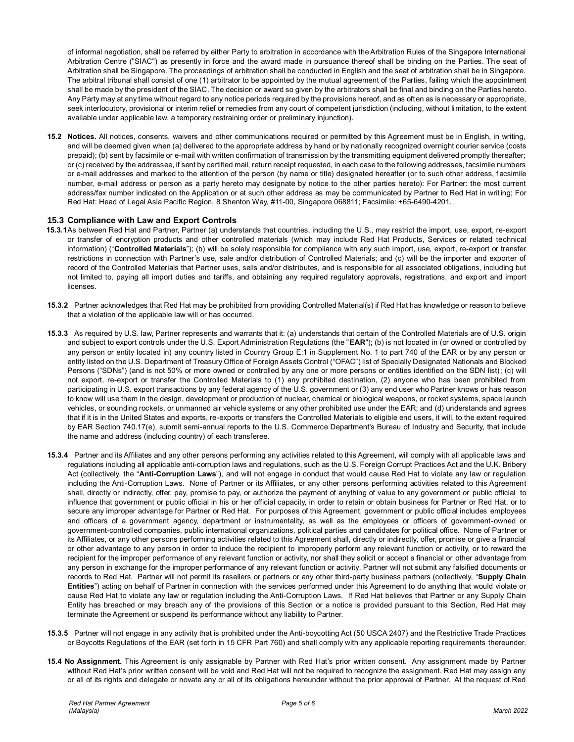of informal negotiation, shall be referred by either Party to arbitration in accordance with the Arbitration Rules of the Singapore International Arbitration Centre ("SIAC") as presently in force and the award made in pursuance thereof shall be binding on the Parties. The seat of Arbitration shall be Singapore. The proceedings of arbitration shall be conducted in English and the seat of arbitration shall be in Singapore. The arbitral tribunal shall consist of one (1) arbitrator to be appointed by the mutual agreement of the Parties, failing which the appointment shall be made by the president of the SIAC. The decision or award so given by the arbitrators shall be final and binding on the Parties hereto. Any Party may at any time without regard to any notice periods required by the provisions hereof, and as often as is necessary or appropriate, seek interlocutory, provisional or interim relief or remedies from any court of competent jurisdiction (including, without limitation, to the extent available under applicable law, a temporary restraining order or preliminary injunction).

**15.2 Notices.** All notices, consents, waivers and other communications required or permitted by this Agreement must be in English, in writing, and will be deemed given when (a) delivered to the appropriate address by hand or by nationally recognized overnight courier service (costs prepaid); (b) sent by facsimile or e-mail with written confirmation of transmission by the transmitting equipment delivered promptly thereafter; or (c) received by the addressee, if sent by certified mail, return receipt requested, in each case to the following addresses, facsimile numbers or e-mail addresses and marked to the attention of the person (by name or title) designated hereafter (or to such other address, f acsimile number, e-mail address or person as a party hereto may designate by notice to the other parties hereto): For Partner: the most current address/fax number indicated on the Application or at such other address as may be communicated by Partner to Red Hat in writ ing; For Red Hat: Head of Legal Asia Pacific Region, 8 Shenton Way, #11-00, Singapore 068811; Facsimile: +65-6490-4201.

# **15.3 Compliance with Law and Export Controls**

- **15.3.1**As between Red Hat and Partner, Partner (a) understands that countries, including the U.S., may restrict the import, use, export, re-export or transfer of encryption products and other controlled materials (which may include Red Hat Products, Services or related technical information) ("**Controlled Materials**"); (b) will be solely responsible for compliance with any such import, use, export, re-export or transfer restrictions in connection with Partner's use, sale and/or distribution of Controlled Materials; and (c) will be the importer and exporter of record of the Controlled Materials that Partner uses, sells and/or distributes, and is responsible for all associated obligations, including but not limited to, paying all import duties and tariffs, and obtaining any required regulatory approvals, registrations, and export and import licenses.
- **15.3.2** Partner acknowledges that Red Hat may be prohibited from providing Controlled Material(s) if Red Hat has knowledge or reason to believe that a violation of the applicable law will or has occurred.
- **15.3.3** As required by U.S. law, Partner represents and warrants that it: (a) understands that certain of the Controlled Materials are of U.S. origin and subject to export controls under the U.S. Export Administration Regulations (the "**EAR**"); (b) is not located in (or owned or controlled by any person or entity located in) any country listed in Country Group E:1 in Supplement No. 1 to part 740 of the EAR or by any person or entity listed on the U.S. Department of Treasury Office of Foreign Assets Control ("OFAC") list of Specially Designated Nationals and Blocked Persons ("SDNs") (and is not 50% or more owned or controlled by any one or more persons or entities identified on the SDN list); (c) will not export, re-export or transfer the Controlled Materials to (1) any prohibited destination, (2) anyone who has been prohibited from participating in U.S. export transactions by any federal agency of the U.S. government or (3) any end user who Partner knows or has reason to know will use them in the design, development or production of nuclear, chemical or biological weapons, or rocket systems, space launch vehicles, or sounding rockets, or unmanned air vehicle systems or any other prohibited use under the EAR; and (d) understands and agrees that if it is in the United States and exports, re-exports or transfers the Controlled Materials to eligible end users, it will, to the extent required by EAR Section 740.17(e), submit semi-annual reports to the U.S. Commerce Department's Bureau of Industry and Security, that include the name and address (including country) of each transferee.
- **15.3.4** Partner and its Affiliates and any other persons performing any activities related to this Agreement, will comply with all applicable laws and regulations including all applicable anti-corruption laws and regulations, such as the U.S. Foreign Corrupt Practices Act and the U.K. Bribery Act (collectively, the "**Anti-Corruption Laws**"), and will not engage in conduct that would cause Red Hat to violate any law or regulation including the Anti-Corruption Laws. None of Partner or its Affiliates, or any other persons performing activities related to this Agreement shall, directly or indirectly, offer, pay, promise to pay, or authorize the payment of anything of value to any government or public official to influence that government or public official in his or her official capacity, in order to retain or obtain business for Partner or Red Hat, or to secure any improper advantage for Partner or Red Hat. For purposes of this Agreement, government or public official includes employees and officers of a government agency, department or instrumentality, as well as the employees or officers of government-owned or government-controlled companies, public international organizations, political parties and candidates for political office. None of Partner or its Affiliates, or any other persons performing activities related to this Agreement shall, directly or indirectly, offer, promise or give a financial or other advantage to any person in order to induce the recipient to improperly perform any relevant function or activity, or to reward the recipient for the improper performance of any relevant function or activity, nor shall they solicit or accept a financial or other advantage from any person in exchange for the improper performance of any relevant function or activity. Partner will not submit any falsified documents or records to Red Hat. Partner will not permit its resellers or partners or any other third-party business partners (collectively, "**Supply Chain Entities**") acting on behalf of Partner in connection with the services performed under this Agreement to do anything that would violate or cause Red Hat to violate any law or regulation including the Anti-Corruption Laws. If Red Hat believes that Partner or any Supply Chain Entity has breached or may breach any of the provisions of this Section or a notice is provided pursuant to this Section, Red Hat may terminate the Agreement or suspend its performance without any liability to Partner.
- **15.3.5** Partner will not engage in any activity that is prohibited under the Anti-boycotting Act (50 USCA 2407) and the Restrictive Trade Practices or Boycotts Regulations of the EAR (set forth in 15 CFR Part 760) and shall comply with any applicable reporting requirements thereunder.
- **15.4 No Assignment.** This Agreement is only assignable by Partner with Red Hat's prior written consent. Any assignment made by Partner without Red Hat's prior written consent will be void and Red Hat will not be required to recognize the assignment. Red Hat may assign any or all of its rights and delegate or novate any or all of its obligations hereunder without the prior approval of Partner. At the request of Red